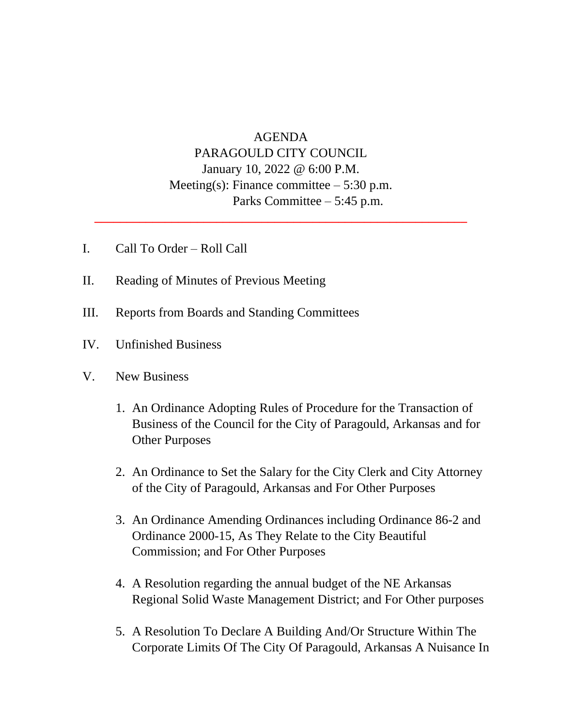## AGENDA PARAGOULD CITY COUNCIL January 10, 2022 @ 6:00 P.M. Meeting(s): Finance committee  $-5:30$  p.m. Parks Committee – 5:45 p.m.

**\_\_\_\_\_\_\_\_\_\_\_\_\_\_\_\_\_\_\_\_\_\_\_\_\_\_\_\_\_\_\_\_\_\_\_\_\_\_\_\_\_\_\_\_\_\_\_\_\_\_\_\_\_\_\_\_\_\_**

- I. Call To Order Roll Call
- II. Reading of Minutes of Previous Meeting
- III. Reports from Boards and Standing Committees
- IV. Unfinished Business
- V. New Business
	- 1. An Ordinance Adopting Rules of Procedure for the Transaction of Business of the Council for the City of Paragould, Arkansas and for Other Purposes
	- 2. An Ordinance to Set the Salary for the City Clerk and City Attorney of the City of Paragould, Arkansas and For Other Purposes
	- 3. An Ordinance Amending Ordinances including Ordinance 86-2 and Ordinance 2000-15, As They Relate to the City Beautiful Commission; and For Other Purposes
	- 4. A Resolution regarding the annual budget of the NE Arkansas Regional Solid Waste Management District; and For Other purposes
	- 5. A Resolution To Declare A Building And/Or Structure Within The Corporate Limits Of The City Of Paragould, Arkansas A Nuisance In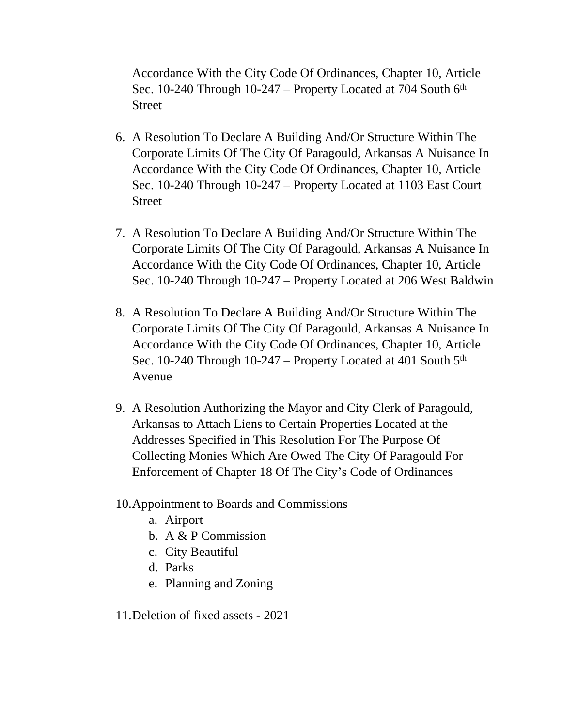Accordance With the City Code Of Ordinances, Chapter 10, Article Sec. 10-240 Through  $10-247$  – Property Located at 704 South  $6<sup>th</sup>$ Street

- 6. A Resolution To Declare A Building And/Or Structure Within The Corporate Limits Of The City Of Paragould, Arkansas A Nuisance In Accordance With the City Code Of Ordinances, Chapter 10, Article Sec. 10-240 Through 10-247 – Property Located at 1103 East Court Street
- 7. A Resolution To Declare A Building And/Or Structure Within The Corporate Limits Of The City Of Paragould, Arkansas A Nuisance In Accordance With the City Code Of Ordinances, Chapter 10, Article Sec. 10-240 Through 10-247 – Property Located at 206 West Baldwin
- 8. A Resolution To Declare A Building And/Or Structure Within The Corporate Limits Of The City Of Paragould, Arkansas A Nuisance In Accordance With the City Code Of Ordinances, Chapter 10, Article Sec. 10-240 Through 10-247 – Property Located at 401 South 5<sup>th</sup> Avenue
- 9. A Resolution Authorizing the Mayor and City Clerk of Paragould, Arkansas to Attach Liens to Certain Properties Located at the Addresses Specified in This Resolution For The Purpose Of Collecting Monies Which Are Owed The City Of Paragould For Enforcement of Chapter 18 Of The City's Code of Ordinances
- 10.Appointment to Boards and Commissions
	- a. Airport
	- b. A & P Commission
	- c. City Beautiful
	- d. Parks
	- e. Planning and Zoning

11.Deletion of fixed assets - 2021